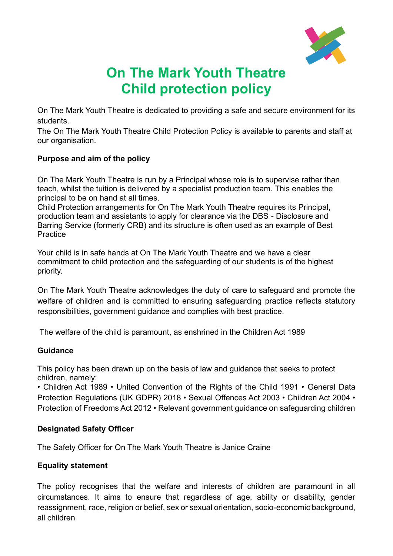

# **On The Mark Youth Theatre Child protection policy**

On The Mark Youth Theatre is dedicated to providing a safe and secure environment for its students.

The On The Mark Youth Theatre Child Protection Policy is available to parents and staff at our organisation.

## **Purpose and aim of the policy**

On The Mark Youth Theatre is run by a Principal whose role is to supervise rather than teach, whilst the tuition is delivered by a specialist production team. This enables the principal to be on hand at all times.

Child Protection arrangements for On The Mark Youth Theatre requires its Principal, production team and assistants to apply for clearance via the DBS - Disclosure and Barring Service (formerly CRB) and its structure is often used as an example of Best **Practice** 

Your child is in safe hands at On The Mark Youth Theatre and we have a clear commitment to child protection and the safeguarding of our students is of the highest priority.

On The Mark Youth Theatre acknowledges the duty of care to safeguard and promote the welfare of children and is committed to ensuring safeguarding practice reflects statutory responsibilities, government guidance and complies with best practice.

The welfare of the child is paramount, as enshrined in the Children Act 1989

## **Guidance**

This policy has been drawn up on the basis of law and guidance that seeks to protect children, namely:

• Children Act 1989 • United Convention of the Rights of the Child 1991 • General Data Protection Regulations (UK GDPR) 2018 • Sexual Offences Act 2003 • Children Act 2004 • Protection of Freedoms Act 2012 • Relevant government guidance on safeguarding children

## **Designated Safety Officer**

The Safety Officer for On The Mark Youth Theatre is Janice Craine

## **Equality statement**

The policy recognises that the welfare and interests of children are paramount in all circumstances. It aims to ensure that regardless of age, ability or disability, gender reassignment, race, religion or belief, sex or sexual orientation, socio-economic background, all children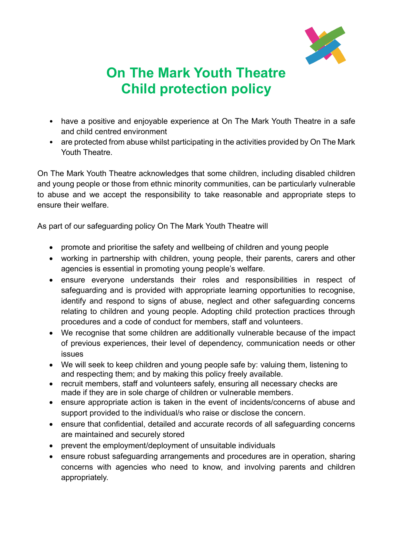

# **On The Mark Youth Theatre Child protection policy**

- have a positive and enjoyable experience at On The Mark Youth Theatre in a safe and child centred environment
- are protected from abuse whilst participating in the activities provided by On The Mark Youth Theatre.

On The Mark Youth Theatre acknowledges that some children, including disabled children and young people or those from ethnic minority communities, can be particularly vulnerable to abuse and we accept the responsibility to take reasonable and appropriate steps to ensure their welfare.

As part of our safeguarding policy On The Mark Youth Theatre will

- promote and prioritise the safety and wellbeing of children and young people
- working in partnership with children, young people, their parents, carers and other agencies is essential in promoting young people's welfare.
- ensure everyone understands their roles and responsibilities in respect of safeguarding and is provided with appropriate learning opportunities to recognise, identify and respond to signs of abuse, neglect and other safeguarding concerns relating to children and young people. Adopting child protection practices through procedures and a code of conduct for members, staff and volunteers.
- We recognise that some children are additionally vulnerable because of the impact of previous experiences, their level of dependency, communication needs or other issues
- We will seek to keep children and young people safe by: valuing them, listening to and respecting them; and by making this policy freely available.
- recruit members, staff and volunteers safely, ensuring all necessary checks are made if they are in sole charge of children or vulnerable members.
- ensure appropriate action is taken in the event of incidents/concerns of abuse and support provided to the individual/s who raise or disclose the concern.
- ensure that confidential, detailed and accurate records of all safeguarding concerns are maintained and securely stored
- prevent the employment/deployment of unsuitable individuals
- ensure robust safeguarding arrangements and procedures are in operation, sharing concerns with agencies who need to know, and involving parents and children appropriately.